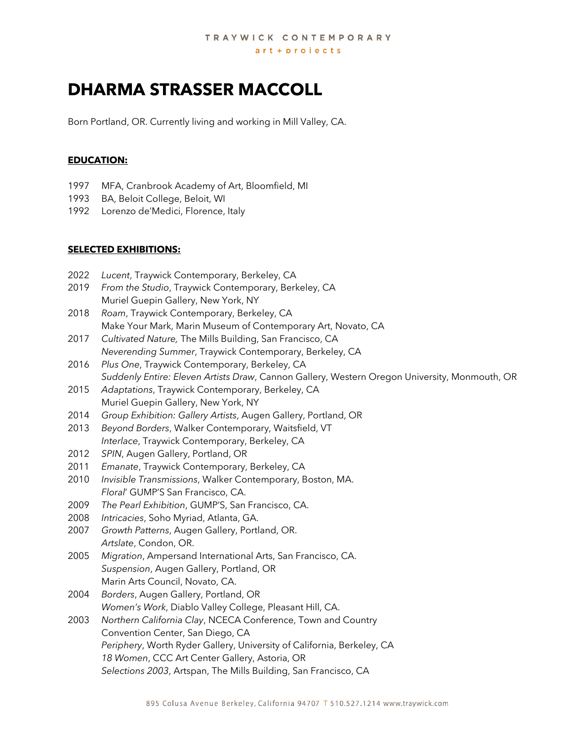# **DHARMA STRASSER MACCOLL**

Born Portland, OR. Currently living and working in Mill Valley, CA.

#### **EDUCATION:**

- 1997 MFA, Cranbrook Academy of Art, Bloomfield, MI
- 1993 BA, Beloit College, Beloit, WI
- 1992 Lorenzo de'Medici, Florence, Italy

#### **SELECTED EXHIBITIONS:**

- 2022 *Lucent*, Traywick Contemporary, Berkeley, CA
- 2019 *From the Studio*, Traywick Contemporary, Berkeley, CA Muriel Guepin Gallery, New York, NY
- 2018 *Roam*, Traywick Contemporary, Berkeley, CA Make Your Mark, Marin Museum of Contemporary Art, Novato, CA
- 2017 *Cultivated Nature,* The Mills Building, San Francisco, CA *Neverending Summer*, Traywick Contemporary, Berkeley, CA
- 2016 *Plus One*, Traywick Contemporary, Berkeley, CA *Suddenly Entire: Eleven Artists Draw*, Cannon Gallery, Western Oregon University, Monmouth, OR
- 2015 *Adaptations*, Traywick Contemporary, Berkeley, CA Muriel Guepin Gallery, New York, NY
- 2014 *Group Exhibition: Gallery Artists*, Augen Gallery, Portland, OR
- 2013 *Beyond Borders*, Walker Contemporary, Waitsfield, VT *Interlace*, Traywick Contemporary, Berkeley, CA
- 2012 *SPIN*, Augen Gallery, Portland, OR
- 2011 *Emanate*, Traywick Contemporary, Berkeley, CA
- 2010 *Invisible Transmissions*, Walker Contemporary, Boston, MA. *Floral*' GUMP'S San Francisco, CA.
- 2009 *The Pearl Exhibition*, GUMP'S, San Francisco, CA.
- 2008 *Intricacies*, Soho Myriad, Atlanta, GA.
- 2007 *Growth Patterns*, Augen Gallery, Portland, OR. *Artslate*, Condon, OR.
- 2005 *Migration*, Ampersand International Arts, San Francisco, CA. *Suspension*, Augen Gallery, Portland, OR Marin Arts Council, Novato, CA.
- 2004 *Borders*, Augen Gallery, Portland, OR *Women's Work*, Diablo Valley College, Pleasant Hill, CA.
- 2003 *Northern California Clay*, NCECA Conference, Town and Country Convention Center, San Diego, CA *Periphery*, Worth Ryder Gallery, University of California, Berkeley, CA *18 Women*, CCC Art Center Gallery, Astoria, OR *Selections 2003*, Artspan, The Mills Building, San Francisco, CA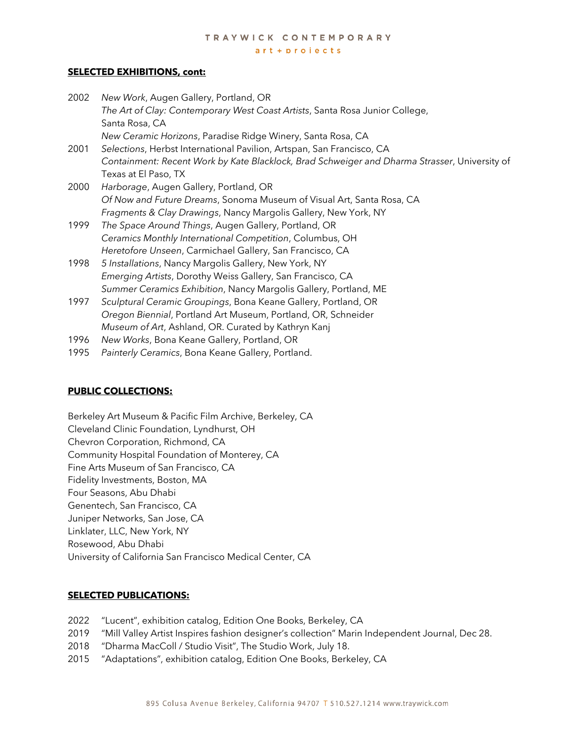# TRAYWICK CONTEMPORARY

 $art + projects$ 

### **SELECTED EXHIBITIONS, cont:**

| Containment: Recent Work by Kate Blacklock, Brad Schweiger and Dharma Strasser, University of |
|-----------------------------------------------------------------------------------------------|
|                                                                                               |
|                                                                                               |
|                                                                                               |
|                                                                                               |
|                                                                                               |
|                                                                                               |
|                                                                                               |
|                                                                                               |
|                                                                                               |
|                                                                                               |
|                                                                                               |
|                                                                                               |
|                                                                                               |
|                                                                                               |
|                                                                                               |
|                                                                                               |
|                                                                                               |
|                                                                                               |

## **PUBLIC COLLECTIONS:**

Berkeley Art Museum & Pacific Film Archive, Berkeley, CA Cleveland Clinic Foundation, Lyndhurst, OH Chevron Corporation, Richmond, CA Community Hospital Foundation of Monterey, CA Fine Arts Museum of San Francisco, CA Fidelity Investments, Boston, MA Four Seasons, Abu Dhabi Genentech, San Francisco, CA Juniper Networks, San Jose, CA Linklater, LLC, New York, NY Rosewood, Abu Dhabi University of California San Francisco Medical Center, CA

# **SELECTED PUBLICATIONS:**

- 2022 "Lucent", exhibition catalog, Edition One Books, Berkeley, CA
- 2019 "Mill Valley Artist Inspires fashion designer's collection" Marin Independent Journal, Dec 28.
- 2018 "Dharma MacColl / Studio Visit", The Studio Work, July 18.
- 2015 "Adaptations", exhibition catalog, Edition One Books, Berkeley, CA